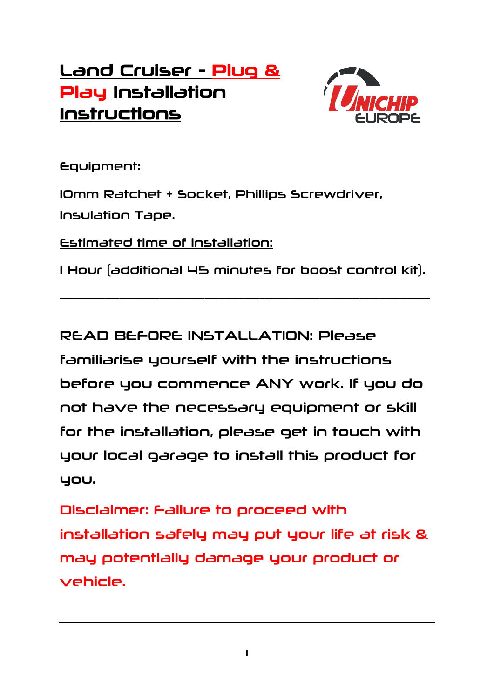## Land Cruiser - Plug & Play Installation Instructions



## Equipment:

10mm Ratchet + Socket, Phillips Screwdriver, Insulation Tape.

Estimated time of installation:

1 Hour (additional 45 minutes for boost control kit).

\_\_\_\_\_\_\_\_\_\_\_\_\_\_\_\_\_\_\_\_\_\_\_\_\_\_\_\_\_\_\_\_\_\_\_\_\_\_\_\_\_\_\_\_\_\_\_\_\_\_\_\_\_\_\_\_\_\_\_\_\_\_\_\_\_\_\_\_\_\_\_\_\_\_

READ BEFORE INSTALLATION: Please

familiarise yourself with the instructions before you commence ANY work. If you do not have the necessary equipment or skill for the installation, please get in touch with your local garage to install this product for you.

Disclaimer: Failure to proceed with installation safely may put your life at risk & may potentially damage your product or vehicle.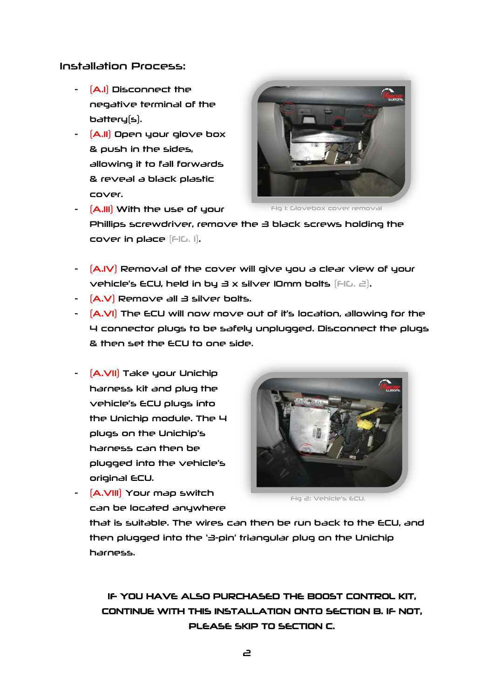## Installation Process:

- (A.I) Disconnect the negative terminal of the battery(s).
- (A.II) Open your glove box & push in the sides, allowing it to fall forwards & reveal a black plastic cover.



 $[A.III]$  With the use of your

Fig 1: Glovebox cover removal

Phillips screwdriver, remove the 3 black screws holding the cover in place (FIG. 1).

- (A.IV) Removal of the cover will give you a clear view of your vehicle's ECU, held in by 3 x silver 10mm bolts  $[FlG, \exists]$ .
- $[A.V]$  Remove all  $\exists$  silver bolts.
- (A.VI) The ECU will now move out of it's location, allowing for the 4 connector plugs to be safely unplugged. Disconnect the plugs & then set the ECU to one side.
- (A.VII) Take your Unichip harness kit and plug the vehicle's ECU plugs into the Unichip module. The 4 plugs on the Unichip's harness can then be plugged into the vehicle's original ECU.



Fig 2: Vehicle's ECU.

- (A.VIII) Your map switch can be located anywhere

that is suitable. The wires can then be run back to the ECU, and then plugged into the '3-pin' triangular plug on the Unichip harness.

IF YOU HAVE ALSO PURCHASED THE BOOST CONTROL KIT, CONTINUE WITH THIS INSTALLATION ONTO SECTION B. IF NOT, PLEASE SKIP TO SECTION C.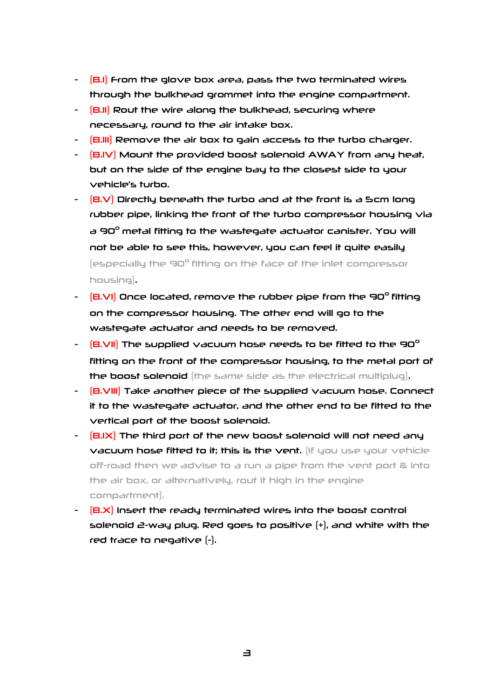- $[**B**$ .I $]$  From the glove box area, pass the two terminated wires through the bulkhead grommet into the engine compartment.
- (B.II) Rout the wire along the bulkhead, securing where necessary, round to the air intake box.
- (B.III) Remove the air box to gain access to the turbo charger.
- $[BN]$  Mount the provided boost solenoid AWAY from any heat, but on the side of the engine bay to the closest side to your vehicle's turbo.
- $(B.V)$  Directly beneath the turbo and at the front is a 5cm long rubber pipe, linking the front of the turbo compressor housing via a 90° metal fitting to the wastegate actuator canister. You will not be able to see this, however, you can feel it quite easily (especially the 90° fitting on the face of the inlet compressor housing).
- $[$ B.VI $]$  Once located, remove the rubber pipe from the 90 $^{\circ}$  fitting on the compressor housing. The other end will go to the wastegate actuator and needs to be removed.
- $[$ B.VII $]$  The supplied vacuum hose needs to be fitted to the 90 $^{\circ}$ fitting on the front of the compressor housing, to the metal port of the boost solenoid (the same side as the electrical multiplug).
- (B.VIII) Take another piece of the supplied vacuum hose. Connect it to the wastegate actuator, and the other end to be fitted to the vertical port of the boost solenoid.
- $[BJ/X]$  The third port of the new boost solenoid will not need any vacuum hose fitted to it; this is the vent. (If you use your vehicle off-road then we advise to a run a pipe from the vent port & into the air box, or alternatively, rout it high in the engine compartment).
- (B.X) Insert the ready terminated wires into the boost control solenoid 2-way plug. Red goes to positive  $[+]$ , and white with the red trace to negative (-).